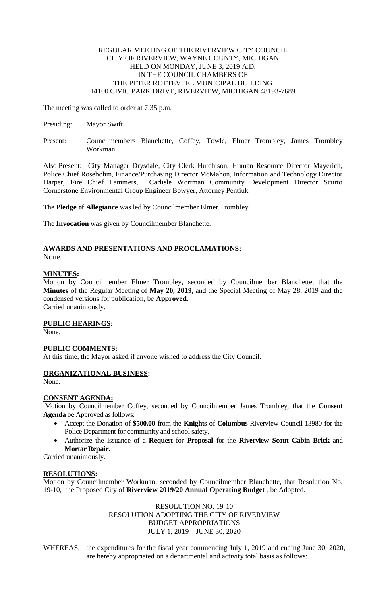### REGULAR MEETING OF THE RIVERVIEW CITY COUNCIL CITY OF RIVERVIEW, WAYNE COUNTY, MICHIGAN HELD ON MONDAY, JUNE 3, 2019 A.D. IN THE COUNCIL CHAMBERS OF THE PETER ROTTEVEEL MUNICIPAL BUILDING 14100 CIVIC PARK DRIVE, RIVERVIEW, MICHIGAN 48193-7689

The meeting was called to order at 7:35 p.m.

- Presiding: Mayor Swift
- Present: Councilmembers Blanchette, Coffey, Towle, Elmer Trombley, James Trombley Workman

Also Present: City Manager Drysdale, City Clerk Hutchison, Human Resource Director Mayerich, Police Chief Rosebohm, Finance/Purchasing Director McMahon, Information and Technology Director Harper, Fire Chief Lammers, Carlisle Wortman Community Development Director Scurto Cornerstone Environmental Group Engineer Bowyer, Attorney Pentiuk

The **Pledge of Allegiance** was led by Councilmember Elmer Trombley.

The **Invocation** was given by Councilmember Blanchette.

## **AWARDS AND PRESENTATIONS AND PROCLAMATIONS:** None.

# **MINUTES:**

Motion by Councilmember Elmer Trombley, seconded by Councilmember Blanchette, that the **Minutes** of the Regular Meeting of **May 20, 2019,** and the Special Meeting of May 28, 2019 and the condensed versions for publication, be **Approved**. Carried unanimously.

## **PUBLIC HEARINGS:**

None.

## **PUBLIC COMMENTS:**

At this time, the Mayor asked if anyone wished to address the City Council.

# **ORGANIZATIONAL BUSINESS:**

None.

# **CONSENT AGENDA:**

Motion by Councilmember Coffey, seconded by Councilmember James Trombley, that the **Consent Agenda** be Approved as follows:

- Accept the Donation of **\$500.00** from the **Knights** of **Columbus** Riverview Council 13980 for the Police Department for community and school safety.
- Authorize the Issuance of a **Request** for **Proposal** for the **Riverview Scout Cabin Brick** and **Mortar Repair.**

Carried unanimously.

## **RESOLUTIONS:**

Motion by Councilmember Workman, seconded by Councilmember Blanchette, that Resolution No. 19-10, the Proposed City of **Riverview 2019/20 Annual Operating Budget** , be Adopted.

> RESOLUTION NO. 19-10 RESOLUTION ADOPTING THE CITY OF RIVERVIEW BUDGET APPROPRIATIONS JULY 1, 2019 – JUNE 30, 2020

WHEREAS, the expenditures for the fiscal year commencing July 1, 2019 and ending June 30, 2020, are hereby appropriated on a departmental and activity total basis as follows: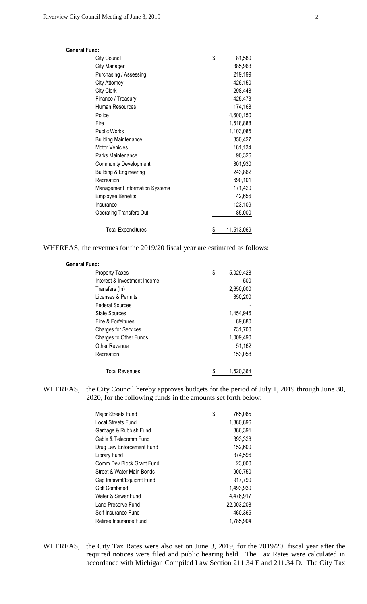| <b>General Fund:</b>              |                  |
|-----------------------------------|------------------|
| City Council                      | \$<br>81,580     |
| <b>City Manager</b>               | 385,963          |
| Purchasing / Assessing            | 219,199          |
| <b>City Attorney</b>              | 426,150          |
| City Clerk                        | 298,448          |
| Finance / Treasury                | 425,473          |
| Human Resources                   | 174,168          |
| Police                            | 4,600,150        |
| Fire                              | 1,518,888        |
| <b>Public Works</b>               | 1,103,085        |
| <b>Building Maintenance</b>       | 350,427          |
| <b>Motor Vehicles</b>             | 181,134          |
| Parks Maintenance                 | 90,326           |
| <b>Community Development</b>      | 301,930          |
| <b>Building &amp; Engineering</b> | 243,862          |
| Recreation                        | 690,101          |
| Management Information Systems    | 171,420          |
| <b>Employee Benefits</b>          | 42,656           |
| Insurance                         | 123,109          |
| <b>Operating Transfers Out</b>    | 85,000           |
| <b>Total Expenditures</b>         | \$<br>11,513,069 |

WHEREAS, the revenues for the 2019/20 fiscal year are estimated as follows:

| <b>General Fund:</b>         |                 |
|------------------------------|-----------------|
| <b>Property Taxes</b>        | \$<br>5,029,428 |
| Interest & Investment Income | 500             |
| Transfers (In)               | 2,650,000       |
| Licenses & Permits           | 350,200         |
| <b>Federal Sources</b>       |                 |
| <b>State Sources</b>         | 1,454,946       |
| Fine & Forfeitures           | 89,880          |
| <b>Charges for Services</b>  | 731,700         |
| Charges to Other Funds       | 1,009,490       |
| Other Revenue                | 51,162          |
| Recreation                   | 153,058         |
|                              |                 |
| <b>Total Revenues</b>        | 11,520,364      |

WHEREAS, the City Council hereby approves budgets for the period of July 1, 2019 through June 30, 2020, for the following funds in the amounts set forth below:

| Major Streets Fund        | \$<br>765,085 |
|---------------------------|---------------|
| Local Streets Fund        | 1,380,896     |
| Garbage & Rubbish Fund    | 386,391       |
| Cable & Telecomm Fund     | 393,328       |
| Drug Law Enforcement Fund | 152,600       |
| Library Fund              | 374,596       |
| Comm Dev Block Grant Fund | 23,000        |
| Street & Water Main Bonds | 900,750       |
| Cap Imprvmt/Equipmt Fund  | 917,790       |
| Golf Combined             | 1,493,930     |
| Water & Sewer Fund        | 4,476,917     |
| Land Preserve Fund        | 22,003,208    |
| Self-Insurance Fund       | 460,365       |
| Retiree Insurance Fund    | 1,785,904     |

WHEREAS, the City Tax Rates were also set on June 3, 2019, for the 2019/20 fiscal year after the required notices were filed and public hearing held. The Tax Rates were calculated in accordance with Michigan Compiled Law Section 211.34 E and 211.34 D. The City Tax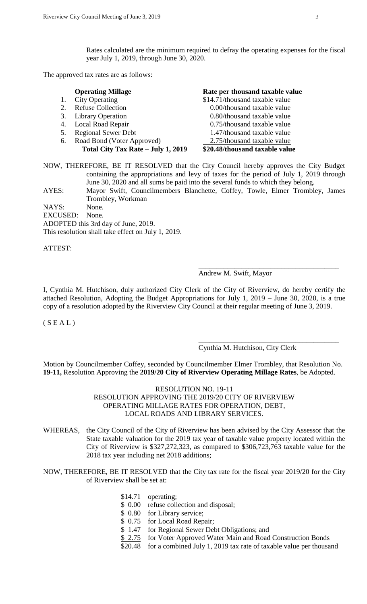Rates calculated are the minimum required to defray the operating expenses for the fiscal year July 1, 2019, through June 30, 2020.

The approved tax rates are as follows:

|    | <b>Operating Millage</b>           | Rate per thousand taxable value |
|----|------------------------------------|---------------------------------|
|    | <b>City Operating</b>              | \$14.71/thousand taxable value  |
|    | <b>Refuse Collection</b>           | 0.00/thousand taxable value     |
|    | 3. Library Operation               | 0.80/thousand taxable value     |
|    | 4. Local Road Repair               | 0.75/thousand taxable value     |
| 5. | <b>Regional Sewer Debt</b>         | 1.47/thousand taxable value     |
|    | 6. Road Bond (Voter Approved)      | 2.75/thousand taxable value     |
|    | Total City Tax Rate - July 1, 2019 | \$20.48/thousand taxable value  |
|    |                                    |                                 |

NOW, THEREFORE, BE IT RESOLVED that the City Council hereby approves the City Budget containing the appropriations and levy of taxes for the period of July 1, 2019 through June 30, 2020 and all sums be paid into the several funds to which they belong.

AYES: Mayor Swift, Councilmembers Blanchette, Coffey, Towle, Elmer Trombley, James Trombley, Workman

NAYS: None.

EXCUSED: None. ADOPTED this 3rd day of June, 2019.

This resolution shall take effect on July 1, 2019.

ATTEST:

#### Andrew M. Swift, Mayor

\_\_\_\_\_\_\_\_\_\_\_\_\_\_\_\_\_\_\_\_\_\_\_\_\_\_\_\_\_\_\_\_\_\_\_\_\_\_\_

\_\_\_\_\_\_\_\_\_\_\_\_\_\_\_\_\_\_\_\_\_\_\_\_\_\_\_\_\_\_\_\_\_\_\_\_\_\_\_

I, Cynthia M. Hutchison, duly authorized City Clerk of the City of Riverview, do hereby certify the attached Resolution, Adopting the Budget Appropriations for July 1, 2019 – June 30, 2020, is a true copy of a resolution adopted by the Riverview City Council at their regular meeting of June 3, 2019.

 $(S E A L)$ 

### Cynthia M. Hutchison, City Clerk

Motion by Councilmember Coffey, seconded by Councilmember Elmer Trombley, that Resolution No. **19-11,** Resolution Approving the **2019/20 City of Riverview Operating Millage Rates**, be Adopted.

## RESOLUTION NO. 19-11 RESOLUTION APPROVING THE 2019/20 CITY OF RIVERVIEW OPERATING MILLAGE RATES FOR OPERATION, DEBT, LOCAL ROADS AND LIBRARY SERVICES.

WHEREAS, the City Council of the City of Riverview has been advised by the City Assessor that the State taxable valuation for the 2019 tax year of taxable value property located within the City of Riverview is \$327,272,323, as compared to \$306,723,763 taxable value for the 2018 tax year including net 2018 additions;

### NOW, THEREFORE, BE IT RESOLVED that the City tax rate for the fiscal year 2019/20 for the City of Riverview shall be set at:

- \$14.71 operating;
- \$ 0.00 refuse collection and disposal;
- \$ 0.80 for Library service;
- \$ 0.75 for Local Road Repair;
- \$ 1.47 for Regional Sewer Debt Obligations; and
- \$ 2.75 for Voter Approved Water Main and Road Construction Bonds

\$20.48 for a combined July 1, 2019 tax rate of taxable value per thousand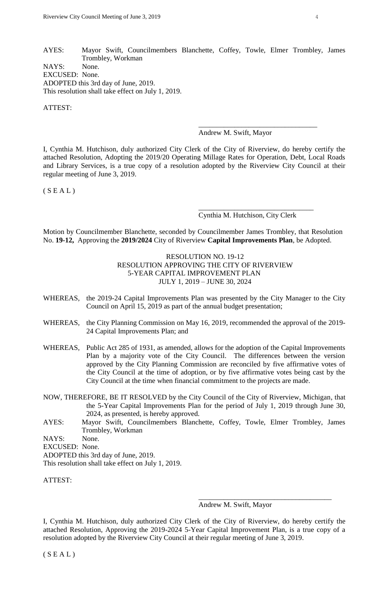AYES: Mayor Swift, Councilmembers Blanchette, Coffey, Towle, Elmer Trombley, James Trombley, Workman NAYS: None. EXCUSED: None. ADOPTED this 3rd day of June, 2019. This resolution shall take effect on July 1, 2019.

ATTEST:

## Andrew M. Swift, Mayor

\_\_\_\_\_\_\_\_\_\_\_\_\_\_\_\_\_\_\_\_\_\_\_\_\_\_\_\_\_\_\_\_\_

I, Cynthia M. Hutchison, duly authorized City Clerk of the City of Riverview, do hereby certify the attached Resolution, Adopting the 2019/20 Operating Millage Rates for Operation, Debt, Local Roads and Library Services, is a true copy of a resolution adopted by the Riverview City Council at their regular meeting of June 3, 2019.

 $(S E A L)$ 

Cynthia M. Hutchison, City Clerk

\_\_\_\_\_\_\_\_\_\_\_\_\_\_\_\_\_\_\_\_\_\_\_\_\_\_\_\_\_\_\_\_

Motion by Councilmember Blanchette, seconded by Councilmember James Trombley, that Resolution No. **19-12,** Approving the **2019/2024** City of Riverview **Capital Improvements Plan**, be Adopted.

> RESOLUTION NO. 19-12 RESOLUTION APPROVING THE CITY OF RIVERVIEW 5-YEAR CAPITAL IMPROVEMENT PLAN JULY 1, 2019 – JUNE 30, 2024

- WHEREAS, the 2019-24 Capital Improvements Plan was presented by the City Manager to the City Council on April 15, 2019 as part of the annual budget presentation;
- WHEREAS, the City Planning Commission on May 16, 2019, recommended the approval of the 2019- 24 Capital Improvements Plan; and
- WHEREAS, Public Act 285 of 1931, as amended, allows for the adoption of the Capital Improvements Plan by a majority vote of the City Council. The differences between the version approved by the City Planning Commission are reconciled by five affirmative votes of the City Council at the time of adoption, or by five affirmative votes being cast by the City Council at the time when financial commitment to the projects are made.

NOW, THEREFORE, BE IT RESOLVED by the City Council of the City of Riverview, Michigan, that the 5-Year Capital Improvements Plan for the period of July 1, 2019 through June 30, 2024, as presented, is hereby approved.

AYES: Mayor Swift, Councilmembers Blanchette, Coffey, Towle, Elmer Trombley, James Trombley, Workman

NAYS: None.

EXCUSED: None.

ADOPTED this 3rd day of June, 2019.

This resolution shall take effect on July 1, 2019.

ATTEST:

Andrew M. Swift, Mayor

\_\_\_\_\_\_\_\_\_\_\_\_\_\_\_\_\_\_\_\_\_\_\_\_\_\_\_\_\_\_\_\_\_\_\_\_\_

I, Cynthia M. Hutchison, duly authorized City Clerk of the City of Riverview, do hereby certify the attached Resolution, Approving the 2019-2024 5-Year Capital Improvement Plan, is a true copy of a resolution adopted by the Riverview City Council at their regular meeting of June 3, 2019.

 $(S E A L)$